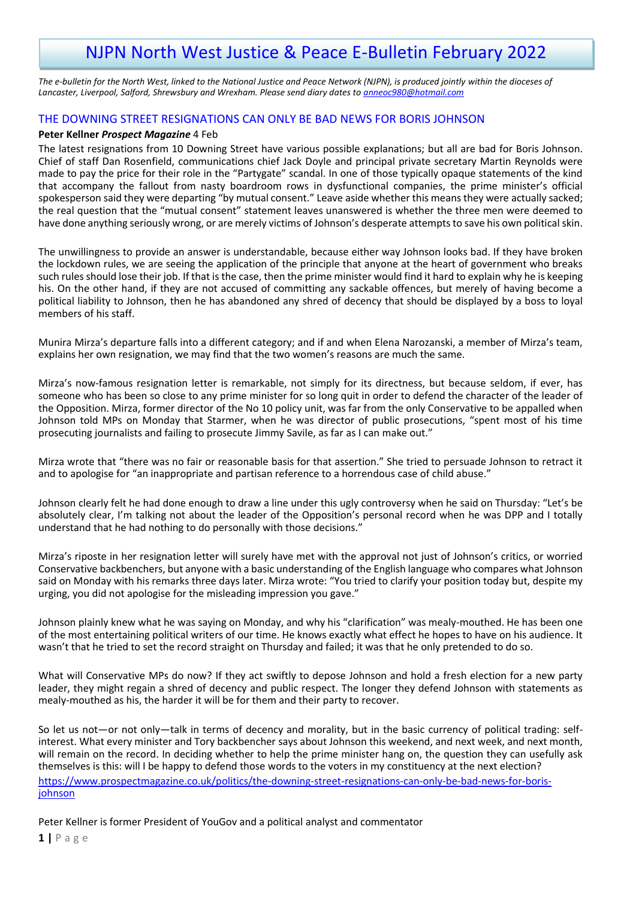# NJPN North West Justice & Peace E-Bulletin February 2022

*The e-bulletin for the North West, linked to the National Justice and Peace Network (NJPN), is produced jointly within the dioceses of Lancaster, Liverpool, Salford, Shrewsbury and Wrexham. Please send diary dates to [anneoc980@hotmail.com](mailto:anneoc980@hotmail.com)*

# THE DOWNING STREET RESIGNATIONS CAN ONLY BE BAD NEWS FOR BORIS JOHNSON

#### **Peter Kellner** *Prospect Magazine* 4 Feb

The latest resignations from 10 Downing Street have various possible explanations; but all are bad for Boris Johnson. Chief of staff Dan Rosenfield, communications chief Jack Doyle and principal private secretary Martin Reynolds were made to pay the price for their role in the "Partygate" scandal. In one of those typically opaque statements of the kind that accompany the fallout from nasty boardroom rows in dysfunctional companies, the prime minister's official spokesperson said they were departing "by mutual consent." Leave aside whether this means they were actually sacked; the real question that the "mutual consent" statement leaves unanswered is whether the three men were deemed to have done anything seriously wrong, or are merely victims of Johnson's desperate attempts to save his own political skin.

The unwillingness to provide an answer is understandable, because either way Johnson looks bad. If they have broken the lockdown rules, we are seeing the application of the principle that anyone at the heart of government who breaks such rules should lose their job. If that is the case, then the prime minister would find it hard to explain why he is keeping his. On the other hand, if they are not accused of committing any sackable offences, but merely of having become a political liability to Johnson, then he has abandoned any shred of decency that should be displayed by a boss to loyal members of his staff.

Munira Mirza's departure falls into a different category; and if and when Elena Narozanski, a member of Mirza's team, explains her own resignation, we may find that the two women's reasons are much the same.

Mirza's now-famous resignation letter is remarkable, not simply for its directness, but because seldom, if ever, has someone who has been so close to any prime minister for so long quit in order to defend the character of the leader of the Opposition. Mirza, former director of the No 10 policy unit, was far from the only Conservative to be appalled when Johnson told MPs on Monday that Starmer, when he was director of public prosecutions, "spent most of his time prosecuting journalists and failing to prosecute Jimmy Savile, as far as I can make out."

Mirza wrote that "there was no fair or reasonable basis for that assertion." She tried to persuade Johnson to retract it and to apologise for "an inappropriate and partisan reference to a horrendous case of child abuse."

Johnson clearly felt he had done enough to draw a line under this ugly controversy when he said on Thursday: "Let's be absolutely clear, I'm talking not about the leader of the Opposition's personal record when he was DPP and I totally understand that he had nothing to do personally with those decisions."

Mirza's riposte in her resignation letter will surely have met with the approval not just of Johnson's critics, or worried Conservative backbenchers, but anyone with a basic understanding of the English language who compares what Johnson said on Monday with his remarks three days later. Mirza wrote: "You tried to clarify your position today but, despite my urging, you did not apologise for the misleading impression you gave."

Johnson plainly knew what he was saying on Monday, and why his "clarification" was mealy-mouthed. He has been one of the most entertaining political writers of our time. He knows exactly what effect he hopes to have on his audience. It wasn't that he tried to set the record straight on Thursday and failed; it was that he only pretended to do so.

What will Conservative MPs do now? If they act swiftly to depose Johnson and hold a fresh election for a new party leader, they might regain a shred of decency and public respect. The longer they defend Johnson with statements as mealy-mouthed as his, the harder it will be for them and their party to recover.

So let us not—or not only—talk in terms of decency and morality, but in the basic currency of political trading: selfinterest. What every minister and Tory backbencher says about Johnson this weekend, and next week, and next month, will remain on the record. In deciding whether to help the prime minister hang on, the question they can usefully ask themselves is this: will I be happy to defend those words to the voters in my constituency at the next election? [https://www.prospectmagazine.co.uk/politics/the-downing-street-resignations-can-only-be-bad-news-for-boris](https://www.prospectmagazine.co.uk/politics/the-downing-street-resignations-can-only-be-bad-news-for-boris-johnson)iohnson

**1 |** P a g e Peter Kellner is former President of YouGov and a political analyst and commentator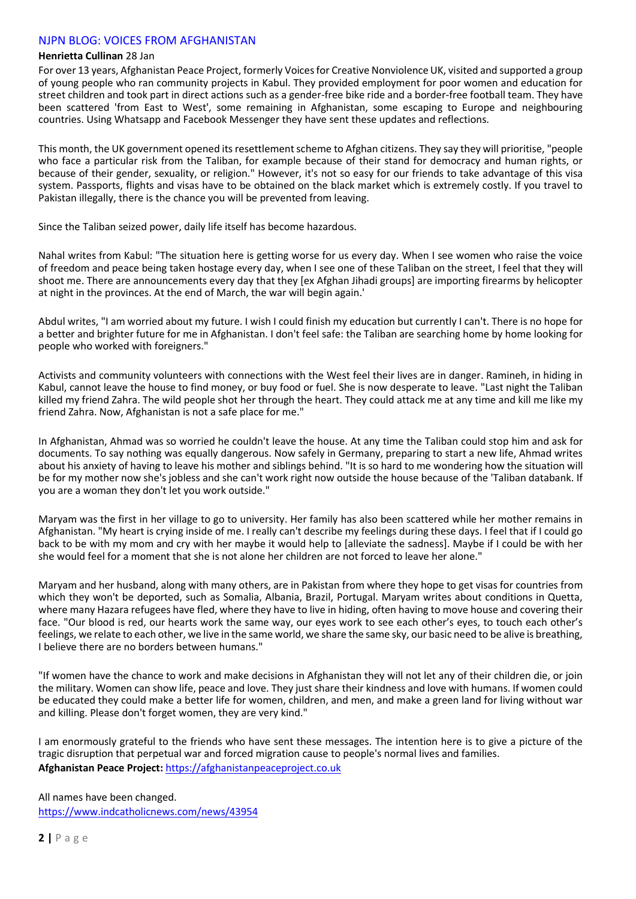### NJPN BLOG: VOICES FROM AFGHANISTAN

#### **Henrietta Cullinan** 28 Jan

For over 13 years, Afghanistan Peace Project, formerly Voices for Creative Nonviolence UK, visited and supported a group of young people who ran community projects in Kabul. They provided employment for poor women and education for street children and took part in direct actions such as a gender-free bike ride and a border-free football team. They have been scattered 'from East to West', some remaining in Afghanistan, some escaping to Europe and neighbouring countries. Using Whatsapp and Facebook Messenger they have sent these updates and reflections.

This month, the UK government opened its resettlement scheme to Afghan citizens. They say they will prioritise, "people who face a particular risk from the Taliban, for example because of their stand for democracy and human rights, or because of their gender, sexuality, or religion." However, it's not so easy for our friends to take advantage of this visa system. Passports, flights and visas have to be obtained on the black market which is extremely costly. If you travel to Pakistan illegally, there is the chance you will be prevented from leaving.

Since the Taliban seized power, daily life itself has become hazardous.

Nahal writes from Kabul: "The situation here is getting worse for us every day. When I see women who raise the voice of freedom and peace being taken hostage every day, when I see one of these Taliban on the street, I feel that they will shoot me. There are announcements every day that they [ex Afghan Jihadi groups] are importing firearms by helicopter at night in the provinces. At the end of March, the war will begin again.'

Abdul writes, "I am worried about my future. I wish I could finish my education but currently I can't. There is no hope for a better and brighter future for me in Afghanistan. I don't feel safe: the Taliban are searching home by home looking for people who worked with foreigners."

Activists and community volunteers with connections with the West feel their lives are in danger. Ramineh, in hiding in Kabul, cannot leave the house to find money, or buy food or fuel. She is now desperate to leave. "Last night the Taliban killed my friend Zahra. The wild people shot her through the heart. They could attack me at any time and kill me like my friend Zahra. Now, Afghanistan is not a safe place for me."

In Afghanistan, Ahmad was so worried he couldn't leave the house. At any time the Taliban could stop him and ask for documents. To say nothing was equally dangerous. Now safely in Germany, preparing to start a new life, Ahmad writes about his anxiety of having to leave his mother and siblings behind. "It is so hard to me wondering how the situation will be for my mother now she's jobless and she can't work right now outside the house because of the 'Taliban databank. If you are a woman they don't let you work outside."

Maryam was the first in her village to go to university. Her family has also been scattered while her mother remains in Afghanistan. "My heart is crying inside of me. I really can't describe my feelings during these days. I feel that if I could go back to be with my mom and cry with her maybe it would help to [alleviate the sadness]. Maybe if I could be with her she would feel for a moment that she is not alone her children are not forced to leave her alone."

Maryam and her husband, along with many others, are in Pakistan from where they hope to get visas for countries from which they won't be deported, such as Somalia, Albania, Brazil, Portugal. Maryam writes about conditions in Quetta, where many Hazara refugees have fled, where they have to live in hiding, often having to move house and covering their face. "Our blood is red, our hearts work the same way, our eyes work to see each other's eyes, to touch each other's feelings, we relate to each other, we live in the same world, we share the same sky, our basic need to be alive is breathing, I believe there are no borders between humans."

"If women have the chance to work and make decisions in Afghanistan they will not let any of their children die, or join the military. Women can show life, peace and love. They just share their kindness and love with humans. If women could be educated they could make a better life for women, children, and men, and make a green land for living without war and killing. Please don't forget women, they are very kind."

I am enormously grateful to the friends who have sent these messages. The intention here is to give a picture of the tragic disruption that perpetual war and forced migration cause to people's normal lives and families. **Afghanistan Peace Project:** [https://afghanistanpeaceproject.co.uk](https://afghanistanpeaceproject.co.uk/)

All names have been changed. <https://www.indcatholicnews.com/news/43954>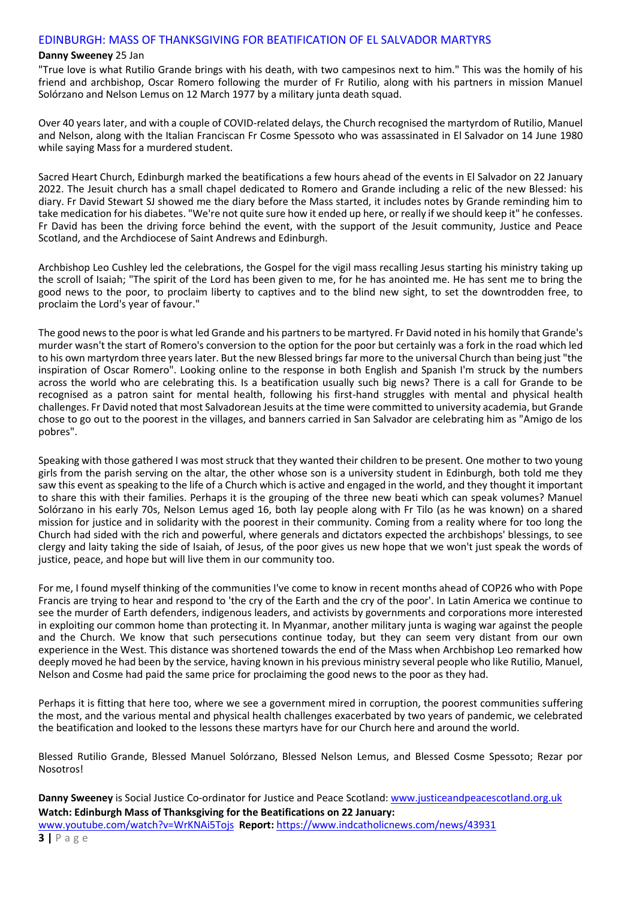### EDINBURGH: MASS OF THANKSGIVING FOR BEATIFICATION OF EL SALVADOR MARTYRS

#### **Danny Sweeney** 25 Jan

"True love is what Rutilio Grande brings with his death, with two campesinos next to him." This was the homily of his friend and archbishop, Oscar Romero following the murder of Fr Rutilio, along with his partners in mission Manuel Solórzano and Nelson Lemus on 12 March 1977 by a military junta death squad.

Over 40 years later, and with a couple of COVID-related delays, the Church recognised the martyrdom of Rutilio, Manuel and Nelson, along with the Italian Franciscan Fr Cosme Spessoto who was assassinated in El Salvador on 14 June 1980 while saying Mass for a murdered student.

Sacred Heart Church, Edinburgh marked the beatifications a few hours ahead of the events in El Salvador on 22 January 2022. The Jesuit church has a small chapel dedicated to Romero and Grande including a relic of the new Blessed: his diary. Fr David Stewart SJ showed me the diary before the Mass started, it includes notes by Grande reminding him to take medication for his diabetes. "We're not quite sure how it ended up here, or really if we should keep it" he confesses. Fr David has been the driving force behind the event, with the support of the Jesuit community, Justice and Peace Scotland, and the Archdiocese of Saint Andrews and Edinburgh.

Archbishop Leo Cushley led the celebrations, the Gospel for the vigil mass recalling Jesus starting his ministry taking up the scroll of Isaiah; "The spirit of the Lord has been given to me, for he has anointed me. He has sent me to bring the good news to the poor, to proclaim liberty to captives and to the blind new sight, to set the downtrodden free, to proclaim the Lord's year of favour."

The good news to the poor is what led Grande and his partners to be martyred. Fr David noted in his homily that Grande's murder wasn't the start of Romero's conversion to the option for the poor but certainly was a fork in the road which led to his own martyrdom three years later. But the new Blessed brings far more to the universal Church than being just "the inspiration of Oscar Romero". Looking online to the response in both English and Spanish I'm struck by the numbers across the world who are celebrating this. Is a beatification usually such big news? There is a call for Grande to be recognised as a patron saint for mental health, following his first-hand struggles with mental and physical health challenges. Fr David noted that most Salvadorean Jesuits at the time were committed to university academia, but Grande chose to go out to the poorest in the villages, and banners carried in San Salvador are celebrating him as "Amigo de los pobres".

Speaking with those gathered I was most struck that they wanted their children to be present. One mother to two young girls from the parish serving on the altar, the other whose son is a university student in Edinburgh, both told me they saw this event as speaking to the life of a Church which is active and engaged in the world, and they thought it important to share this with their families. Perhaps it is the grouping of the three new beati which can speak volumes? Manuel Solórzano in his early 70s, Nelson Lemus aged 16, both lay people along with Fr Tilo (as he was known) on a shared mission for justice and in solidarity with the poorest in their community. Coming from a reality where for too long the Church had sided with the rich and powerful, where generals and dictators expected the archbishops' blessings, to see clergy and laity taking the side of Isaiah, of Jesus, of the poor gives us new hope that we won't just speak the words of justice, peace, and hope but will live them in our community too.

For me, I found myself thinking of the communities I've come to know in recent months ahead of COP26 who with Pope Francis are trying to hear and respond to 'the cry of the Earth and the cry of the poor'. In Latin America we continue to see the murder of Earth defenders, indigenous leaders, and activists by governments and corporations more interested in exploiting our common home than protecting it. In Myanmar, another military junta is waging war against the people and the Church. We know that such persecutions continue today, but they can seem very distant from our own experience in the West. This distance was shortened towards the end of the Mass when Archbishop Leo remarked how deeply moved he had been by the service, having known in his previous ministry several people who like Rutilio, Manuel, Nelson and Cosme had paid the same price for proclaiming the good news to the poor as they had.

Perhaps it is fitting that here too, where we see a government mired in corruption, the poorest communities suffering the most, and the various mental and physical health challenges exacerbated by two years of pandemic, we celebrated the beatification and looked to the lessons these martyrs have for our Church here and around the world.

Blessed Rutilio Grande, Blessed Manuel Solórzano, Blessed Nelson Lemus, and Blessed Cosme Spessoto; Rezar por Nosotros!

**Danny Sweeney** is Social Justice Co-ordinator for Justice and Peace Scotland: www.justiceandpeacescotland.org.uk **Watch: Edinburgh Mass of Thanksgiving for the Beatifications on 22 January:**  [www.youtube.com/watch?v=WrKNAi5Tojs](http://www.youtube.com/watch?v=WrKNAi5Tojs) **Report:** <https://www.indcatholicnews.com/news/43931>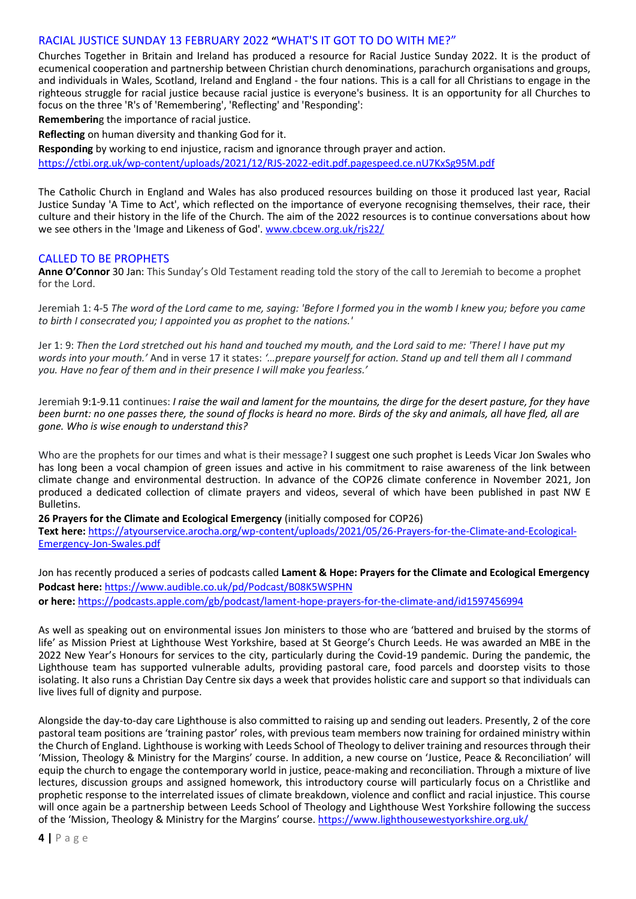# RACIAL JUSTICE SUNDAY 13 FEBRUARY 2022 **"**WHAT'S IT GOT TO DO WITH ME?"

Churches Together in Britain and Ireland has produced a resource for Racial Justice Sunday 2022. It is the product of ecumenical cooperation and partnership between Christian church denominations, parachurch organisations and groups, and individuals in Wales, Scotland, Ireland and England - the four nations. This is a call for all Christians to engage in the righteous struggle for racial justice because racial justice is everyone's business. It is an opportunity for all Churches to focus on the three 'R's of 'Remembering', 'Reflecting' and 'Responding':

**Rememberin**g the importance of racial justice.

**Reflecting** on human diversity and thanking God for it.

**Responding** by working to end injustice, racism and ignorance through prayer and action. <https://ctbi.org.uk/wp-content/uploads/2021/12/RJS-2022-edit.pdf.pagespeed.ce.nU7KxSg95M.pdf>

The Catholic Church in England and Wales has also produced resources building on those it produced last year, Racial Justice Sunday 'A Time to Act', which reflected on the importance of everyone recognising themselves, their race, their culture and their history in the life of the Church. The aim of the 2022 resources is to continue conversations about how we see others in the 'Image and Likeness of God'. [www.cbcew.org.uk/rjs22/](http://www.cbcew.org.uk/rjs22/)

### CALLED TO BE PROPHETS

**Anne O'Connor** 30 Jan: This Sunday's Old Testament reading told the story of the call to Jeremiah to become a prophet for the Lord.

Jeremiah 1: 4-5 *The word of the Lord came to me, saying: 'Before I formed you in the womb I knew you; before you came to birth I consecrated you; I appointed you as prophet to the nations.'*

Jer 1: 9: *Then the Lord stretched out his hand and touched my mouth, and the Lord said to me: 'There! I have put my words into your mouth.'* And in verse 17 it states: *'…prepare yourself for action. Stand up and tell them alI I command you. Have no fear of them and in their presence I will make you fearless.'*

Jeremiah 9:1-9.11 continues: *I raise the wail and lament for the mountains, the dirge for the desert pasture, for they have been burnt: no one passes there, the sound of flocks is heard no more. Birds of the sky and animals, all have fled, all are gone. Who is wise enough to understand this?*

Who are the prophets for our times and what is their message? I suggest one such prophet is Leeds Vicar Jon Swales who has long been a vocal champion of green issues and active in his commitment to raise awareness of the link between climate change and environmental destruction. In advance of the COP26 climate conference in November 2021, Jon produced a dedicated collection of climate prayers and videos, several of which have been published in past NW E Bulletins.

**26 Prayers for the Climate and Ecological Emergency** (initially composed for COP26) **Text here:** [https://atyourservice.arocha.org/wp-content/uploads/2021/05/26-Prayers-for-the-Climate-and-Ecological-](https://atyourservice.arocha.org/wp-content/uploads/2021/05/26-Prayers-for-the-Climate-and-Ecological-Emergency-Jon-Swales.pdf)[Emergency-Jon-Swales.pdf](https://atyourservice.arocha.org/wp-content/uploads/2021/05/26-Prayers-for-the-Climate-and-Ecological-Emergency-Jon-Swales.pdf)

Jon has recently produced a series of podcasts called **Lament & Hope: Prayers for the Climate and Ecological Emergency Podcast here:** <https://www.audible.co.uk/pd/Podcast/B08K5WSPHN> **or here:** <https://podcasts.apple.com/gb/podcast/lament-hope-prayers-for-the-climate-and/id1597456994>

As well as speaking out on environmental issues Jon ministers to those who are 'battered and bruised by the storms of life' as Mission Priest at Lighthouse West Yorkshire, based at St George's Church Leeds. He was awarded an MBE in the 2022 New Year's Honours for services to the city, particularly during the Covid-19 pandemic. During the pandemic, the Lighthouse team has supported vulnerable adults, providing pastoral care, food parcels and doorstep visits to those isolating. It also runs a Christian Day Centre six days a week that provides holistic care and support so that individuals can live lives full of dignity and purpose.

Alongside the day-to-day care Lighthouse is also committed to raising up and sending out leaders. Presently, 2 of the core pastoral team positions are 'training pastor' roles, with previous team members now training for ordained ministry within the Church of England. Lighthouse is working with Leeds School of Theology to deliver training and resources through their 'Mission, Theology & Ministry for the Margins' course. In addition, a new course on 'Justice, Peace & Reconciliation' will equip the church to engage the contemporary world in justice, peace-making and reconciliation. Through a mixture of live lectures, discussion groups and assigned homework, this introductory course will particularly focus on a Christlike and prophetic response to the interrelated issues of climate breakdown, violence and conflict and racial injustice. This course will once again be a partnership between Leeds School of Theology and Lighthouse West Yorkshire following the success of the 'Mission, Theology & Ministry for the Margins' course. <https://www.lighthousewestyorkshire.org.uk/>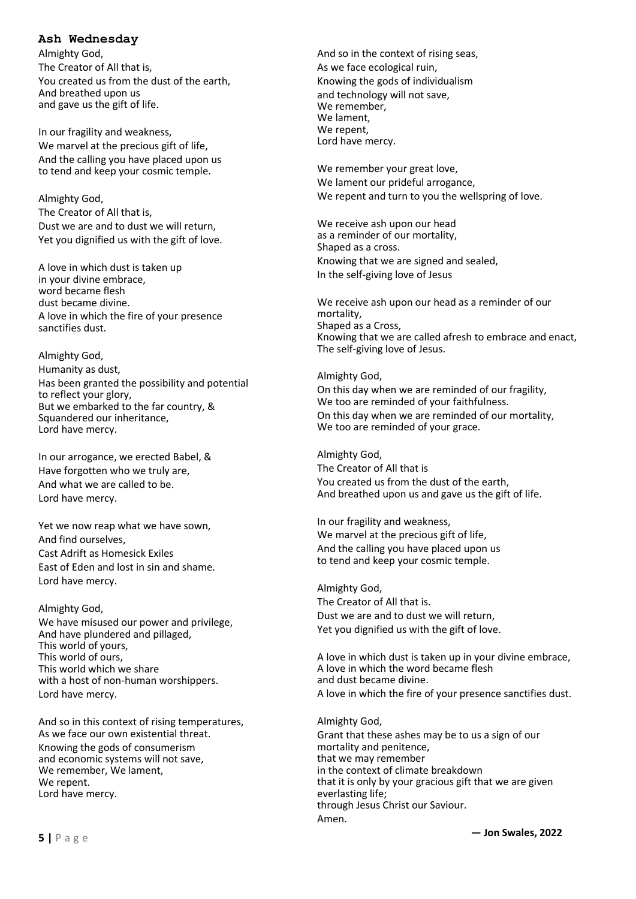# **Ash Wednesday**

Almighty God, The Creator of All that is, You created us from the dust of the earth, And breathed upon us and gave us the gift of life.

In our fragility and weakness, We marvel at the precious gift of life, And the calling you have placed upon us to tend and keep your cosmic temple.

Almighty God, The Creator of All that is, Dust we are and to dust we will return, Yet you dignified us with the gift of love.

A love in which dust is taken up in your divine embrace. word became flesh dust became divine. A love in which the fire of your presence sanctifies dust.

Almighty God, Humanity as dust, Has been granted the possibility and potential to reflect your glory, But we embarked to the far country, & Squandered our inheritance, Lord have mercy.

In our arrogance, we erected Babel, & Have forgotten who we truly are, And what we are called to be. Lord have mercy.

Yet we now reap what we have sown, And find ourselves, Cast Adrift as Homesick Exiles East of Eden and lost in sin and shame. Lord have mercy.

Almighty God, We have misused our power and privilege, And have plundered and pillaged, This world of yours, This world of ours, This world which we share with a host of non-human worshippers. Lord have mercy.

And so in this context of rising temperatures, As we face our own existential threat. Knowing the gods of consumerism and economic systems will not save, We remember, We lament, We repent. Lord have mercy.

And so in the context of rising seas, As we face ecological ruin, Knowing the gods of individualism and technology will not save, We remember. We lament, We repent. Lord have mercy.

We remember your great love, We lament our prideful arrogance, We repent and turn to you the wellspring of love.

We receive ash upon our head as a reminder of our mortality, Shaped as a cross. Knowing that we are signed and sealed, In the self-giving love of Jesus

We receive ash upon our head as a reminder of our mortality, Shaped as a Cross, Knowing that we are called afresh to embrace and enact, The self-giving love of Jesus.

Almighty God,

On this day when we are reminded of our fragility, We too are reminded of your faithfulness. On this day when we are reminded of our mortality, We too are reminded of your grace.

Almighty God, The Creator of All that is You created us from the dust of the earth, And breathed upon us and gave us the gift of life.

In our fragility and weakness, We marvel at the precious gift of life, And the calling you have placed upon us to tend and keep your cosmic temple.

Almighty God, The Creator of All that is. Dust we are and to dust we will return, Yet you dignified us with the gift of love.

A love in which dust is taken up in your divine embrace, A love in which the word became flesh and dust became divine. A love in which the fire of your presence sanctifies dust.

Almighty God, Grant that these ashes may be to us a sign of our mortality and penitence, that we may remember in the context of climate breakdown that it is only by your gracious gift that we are given everlasting life; through Jesus Christ our Saviour. Amen.

**— Jon Swales, 2022**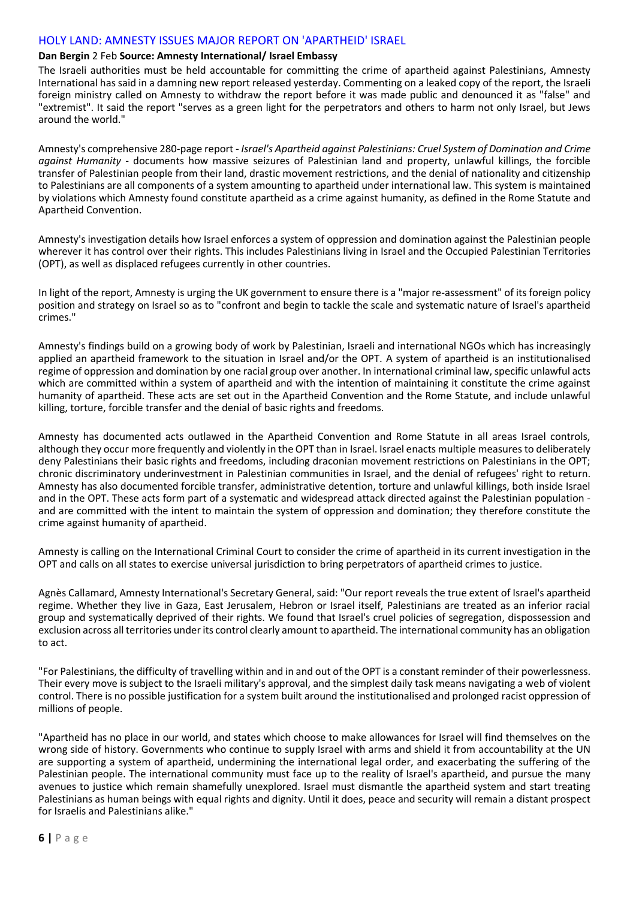### HOLY LAND: AMNESTY ISSUES MAJOR REPORT ON 'APARTHEID' ISRAEL

#### **Dan Bergin** 2 Feb **Source: Amnesty International/ Israel Embassy**

The Israeli authorities must be held accountable for committing the crime of apartheid against Palestinians, Amnesty International has said in a damning new report released yesterday. Commenting on a leaked copy of the report, the Israeli foreign ministry called on Amnesty to withdraw the report before it was made public and denounced it as "false" and "extremist". It said the report "serves as a green light for the perpetrators and others to harm not only Israel, but Jews around the world."

Amnesty's comprehensive 280-page report - *Israel's Apartheid against Palestinians: Cruel System of Domination and Crime against Humanity* - documents how massive seizures of Palestinian land and property, unlawful killings, the forcible transfer of Palestinian people from their land, drastic movement restrictions, and the denial of nationality and citizenship to Palestinians are all components of a system amounting to apartheid under international law. This system is maintained by violations which Amnesty found constitute apartheid as a crime against humanity, as defined in the Rome Statute and Apartheid Convention.

Amnesty's investigation details how Israel enforces a system of oppression and domination against the Palestinian people wherever it has control over their rights. This includes Palestinians living in Israel and the Occupied Palestinian Territories (OPT), as well as displaced refugees currently in other countries.

In light of the report, Amnesty is urging the UK government to ensure there is a "major re-assessment" of its foreign policy position and strategy on Israel so as to "confront and begin to tackle the scale and systematic nature of Israel's apartheid crimes."

Amnesty's findings build on a growing body of work by Palestinian, Israeli and international NGOs which has increasingly applied an apartheid framework to the situation in Israel and/or the OPT. A system of apartheid is an institutionalised regime of oppression and domination by one racial group over another. In international criminal law, specific unlawful acts which are committed within a system of apartheid and with the intention of maintaining it constitute the crime against humanity of apartheid. These acts are set out in the Apartheid Convention and the Rome Statute, and include unlawful killing, torture, forcible transfer and the denial of basic rights and freedoms.

Amnesty has documented acts outlawed in the Apartheid Convention and Rome Statute in all areas Israel controls, although they occur more frequently and violently in the OPT than in Israel. Israel enacts multiple measures to deliberately deny Palestinians their basic rights and freedoms, including draconian movement restrictions on Palestinians in the OPT; chronic discriminatory underinvestment in Palestinian communities in Israel, and the denial of refugees' right to return. Amnesty has also documented forcible transfer, administrative detention, torture and unlawful killings, both inside Israel and in the OPT. These acts form part of a systematic and widespread attack directed against the Palestinian population and are committed with the intent to maintain the system of oppression and domination; they therefore constitute the crime against humanity of apartheid.

Amnesty is calling on the International Criminal Court to consider the crime of apartheid in its current investigation in the OPT and calls on all states to exercise universal jurisdiction to bring perpetrators of apartheid crimes to justice.

Agnès Callamard, Amnesty International's Secretary General, said: "Our report reveals the true extent of Israel's apartheid regime. Whether they live in Gaza, East Jerusalem, Hebron or Israel itself, Palestinians are treated as an inferior racial group and systematically deprived of their rights. We found that Israel's cruel policies of segregation, dispossession and exclusion across all territories under its control clearly amount to apartheid. The international community has an obligation to act.

"For Palestinians, the difficulty of travelling within and in and out of the OPT is a constant reminder of their powerlessness. Their every move is subject to the Israeli military's approval, and the simplest daily task means navigating a web of violent control. There is no possible justification for a system built around the institutionalised and prolonged racist oppression of millions of people.

"Apartheid has no place in our world, and states which choose to make allowances for Israel will find themselves on the wrong side of history. Governments who continue to supply Israel with arms and shield it from accountability at the UN are supporting a system of apartheid, undermining the international legal order, and exacerbating the suffering of the Palestinian people. The international community must face up to the reality of Israel's apartheid, and pursue the many avenues to justice which remain shamefully unexplored. Israel must dismantle the apartheid system and start treating Palestinians as human beings with equal rights and dignity. Until it does, peace and security will remain a distant prospect for Israelis and Palestinians alike."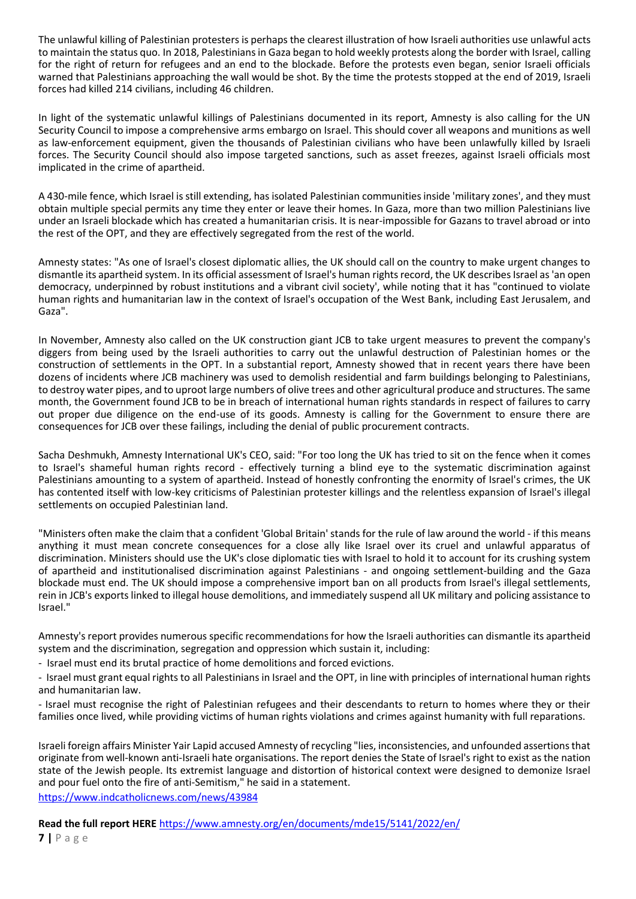The unlawful killing of Palestinian protesters is perhaps the clearest illustration of how Israeli authorities use unlawful acts to maintain the status quo. In 2018, Palestinians in Gaza began to hold weekly protests along the border with Israel, calling for the right of return for refugees and an end to the blockade. Before the protests even began, senior Israeli officials warned that Palestinians approaching the wall would be shot. By the time the protests stopped at the end of 2019, Israeli forces had killed 214 civilians, including 46 children.

In light of the systematic unlawful killings of Palestinians documented in its report, Amnesty is also calling for the UN Security Council to impose a comprehensive arms embargo on Israel. This should cover all weapons and munitions as well as law-enforcement equipment, given the thousands of Palestinian civilians who have been unlawfully killed by Israeli forces. The Security Council should also impose targeted sanctions, such as asset freezes, against Israeli officials most implicated in the crime of apartheid.

A 430-mile fence, which Israel is still extending, has isolated Palestinian communities inside 'military zones', and they must obtain multiple special permits any time they enter or leave their homes. In Gaza, more than two million Palestinians live under an Israeli blockade which has created a humanitarian crisis. It is near-impossible for Gazans to travel abroad or into the rest of the OPT, and they are effectively segregated from the rest of the world.

Amnesty states: "As one of Israel's closest diplomatic allies, the UK should call on the country to make urgent changes to dismantle its apartheid system. In its official assessment of Israel's human rights record, the UK describes Israel as 'an open democracy, underpinned by robust institutions and a vibrant civil society', while noting that it has "continued to violate human rights and humanitarian law in the context of Israel's occupation of the West Bank, including East Jerusalem, and Gaza".

In November, Amnesty also called on the UK construction giant JCB to take urgent measures to prevent the company's diggers from being used by the Israeli authorities to carry out the unlawful destruction of Palestinian homes or the construction of settlements in the OPT. In a substantial report, Amnesty showed that in recent years there have been dozens of incidents where JCB machinery was used to demolish residential and farm buildings belonging to Palestinians, to destroy water pipes, and to uproot large numbers of olive trees and other agricultural produce and structures. The same month, the Government found JCB to be in breach of international human rights standards in respect of failures to carry out proper due diligence on the end-use of its goods. Amnesty is calling for the Government to ensure there are consequences for JCB over these failings, including the denial of public procurement contracts.

Sacha Deshmukh, Amnesty International UK's CEO, said: "For too long the UK has tried to sit on the fence when it comes to Israel's shameful human rights record - effectively turning a blind eye to the systematic discrimination against Palestinians amounting to a system of apartheid. Instead of honestly confronting the enormity of Israel's crimes, the UK has contented itself with low-key criticisms of Palestinian protester killings and the relentless expansion of Israel's illegal settlements on occupied Palestinian land.

"Ministers often make the claim that a confident 'Global Britain' stands for the rule of law around the world - if this means anything it must mean concrete consequences for a close ally like Israel over its cruel and unlawful apparatus of discrimination. Ministers should use the UK's close diplomatic ties with Israel to hold it to account for its crushing system of apartheid and institutionalised discrimination against Palestinians - and ongoing settlement-building and the Gaza blockade must end. The UK should impose a comprehensive import ban on all products from Israel's illegal settlements, rein in JCB's exports linked to illegal house demolitions, and immediately suspend all UK military and policing assistance to Israel."

Amnesty's report provides numerous specific recommendations for how the Israeli authorities can dismantle its apartheid system and the discrimination, segregation and oppression which sustain it, including:

- Israel must end its brutal practice of home demolitions and forced evictions.

- Israel must grant equal rights to all Palestinians in Israel and the OPT, in line with principles of international human rights and humanitarian law.

- Israel must recognise the right of Palestinian refugees and their descendants to return to homes where they or their families once lived, while providing victims of human rights violations and crimes against humanity with full reparations.

Israeli foreign affairs Minister Yair Lapid accused Amnesty of recycling "lies, inconsistencies, and unfounded assertions that originate from well-known anti-Israeli hate organisations. The report denies the State of Israel's right to exist as the nation state of the Jewish people. Its extremist language and distortion of historical context were designed to demonize Israel and pour fuel onto the fire of anti-Semitism," he said in a statement. <https://www.indcatholicnews.com/news/43984>

**7 |** P a g e **Read the full report HERE** <https://www.amnesty.org/en/documents/mde15/5141/2022/en/>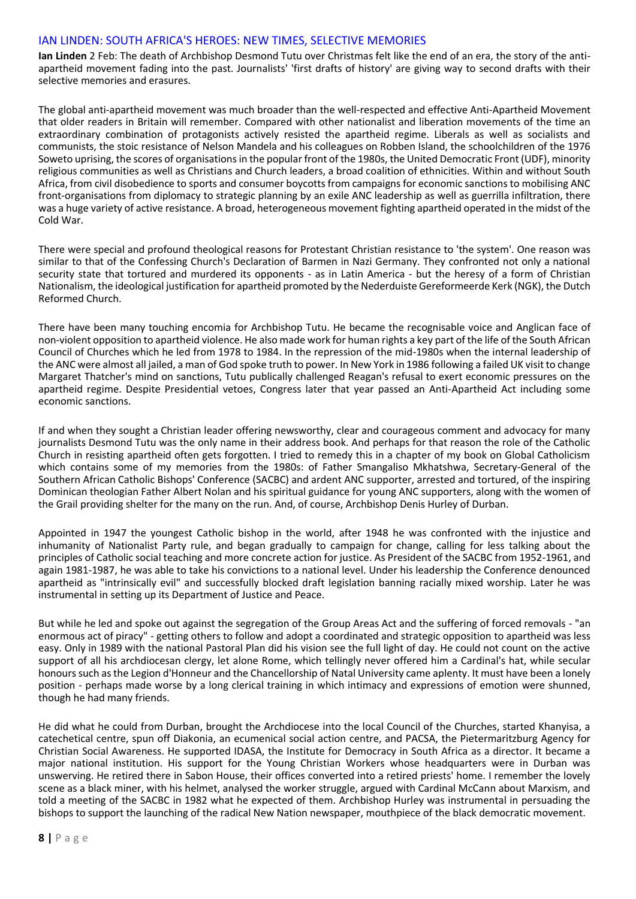### IAN LINDEN: SOUTH AFRICA'S HEROES: NEW TIMES, SELECTIVE MEMORIES

**Ian Linden** 2 Feb: The death of Archbishop Desmond Tutu over Christmas felt like the end of an era, the story of the antiapartheid movement fading into the past. Journalists' 'first drafts of history' are giving way to second drafts with their selective memories and erasures.

The global anti-apartheid movement was much broader than the well-respected and effective Anti-Apartheid Movement that older readers in Britain will remember. Compared with other nationalist and liberation movements of the time an extraordinary combination of protagonists actively resisted the apartheid regime. Liberals as well as socialists and communists, the stoic resistance of Nelson Mandela and his colleagues on Robben Island, the schoolchildren of the 1976 Soweto uprising, the scores of organisations in the popular front of the 1980s, the United Democratic Front (UDF), minority religious communities as well as Christians and Church leaders, a broad coalition of ethnicities. Within and without South Africa, from civil disobedience to sports and consumer boycotts from campaigns for economic sanctions to mobilising ANC front-organisations from diplomacy to strategic planning by an exile ANC leadership as well as guerrilla infiltration, there was a huge variety of active resistance. A broad, heterogeneous movement fighting apartheid operated in the midst of the Cold War.

There were special and profound theological reasons for Protestant Christian resistance to 'the system'. One reason was similar to that of the Confessing Church's Declaration of Barmen in Nazi Germany. They confronted not only a national security state that tortured and murdered its opponents - as in Latin America - but the heresy of a form of Christian Nationalism, the ideological justification for apartheid promoted by the Nederduiste Gereformeerde Kerk (NGK), the Dutch Reformed Church.

There have been many touching encomia for Archbishop Tutu. He became the recognisable voice and Anglican face of non-violent opposition to apartheid violence. He also made work for human rights a key part of the life of the South African Council of Churches which he led from 1978 to 1984. In the repression of the mid-1980s when the internal leadership of the ANC were almost all jailed, a man of God spoke truth to power. In New York in 1986 following a failed UK visit to change Margaret Thatcher's mind on sanctions, Tutu publically challenged Reagan's refusal to exert economic pressures on the apartheid regime. Despite Presidential vetoes, Congress later that year passed an Anti-Apartheid Act including some economic sanctions.

If and when they sought a Christian leader offering newsworthy, clear and courageous comment and advocacy for many journalists Desmond Tutu was the only name in their address book. And perhaps for that reason the role of the Catholic Church in resisting apartheid often gets forgotten. I tried to remedy this in a chapter of my book on Global Catholicism which contains some of my memories from the 1980s: of Father Smangaliso Mkhatshwa, Secretary-General of the Southern African Catholic Bishops' Conference (SACBC) and ardent ANC supporter, arrested and tortured, of the inspiring Dominican theologian Father Albert Nolan and his spiritual guidance for young ANC supporters, along with the women of the Grail providing shelter for the many on the run. And, of course, Archbishop Denis Hurley of Durban.

Appointed in 1947 the youngest Catholic bishop in the world, after 1948 he was confronted with the injustice and inhumanity of Nationalist Party rule, and began gradually to campaign for change, calling for less talking about the principles of Catholic social teaching and more concrete action for justice. As President of the SACBC from 1952-1961, and again 1981-1987, he was able to take his convictions to a national level. Under his leadership the Conference denounced apartheid as "intrinsically evil" and successfully blocked draft legislation banning racially mixed worship. Later he was instrumental in setting up its Department of Justice and Peace.

But while he led and spoke out against the segregation of the Group Areas Act and the suffering of forced removals - "an enormous act of piracy" - getting others to follow and adopt a coordinated and strategic opposition to apartheid was less easy. Only in 1989 with the national Pastoral Plan did his vision see the full light of day. He could not count on the active support of all his archdiocesan clergy, let alone Rome, which tellingly never offered him a Cardinal's hat, while secular honours such as the Legion d'Honneur and the Chancellorship of Natal University came aplenty. It must have been a lonely position - perhaps made worse by a long clerical training in which intimacy and expressions of emotion were shunned, though he had many friends.

He did what he could from Durban, brought the Archdiocese into the local Council of the Churches, started Khanyisa, a catechetical centre, spun off Diakonia, an ecumenical social action centre, and PACSA, the Pietermaritzburg Agency for Christian Social Awareness. He supported IDASA, the Institute for Democracy in South Africa as a director. It became a major national institution. His support for the Young Christian Workers whose headquarters were in Durban was unswerving. He retired there in Sabon House, their offices converted into a retired priests' home. I remember the lovely scene as a black miner, with his helmet, analysed the worker struggle, argued with Cardinal McCann about Marxism, and told a meeting of the SACBC in 1982 what he expected of them. Archbishop Hurley was instrumental in persuading the bishops to support the launching of the radical New Nation newspaper, mouthpiece of the black democratic movement.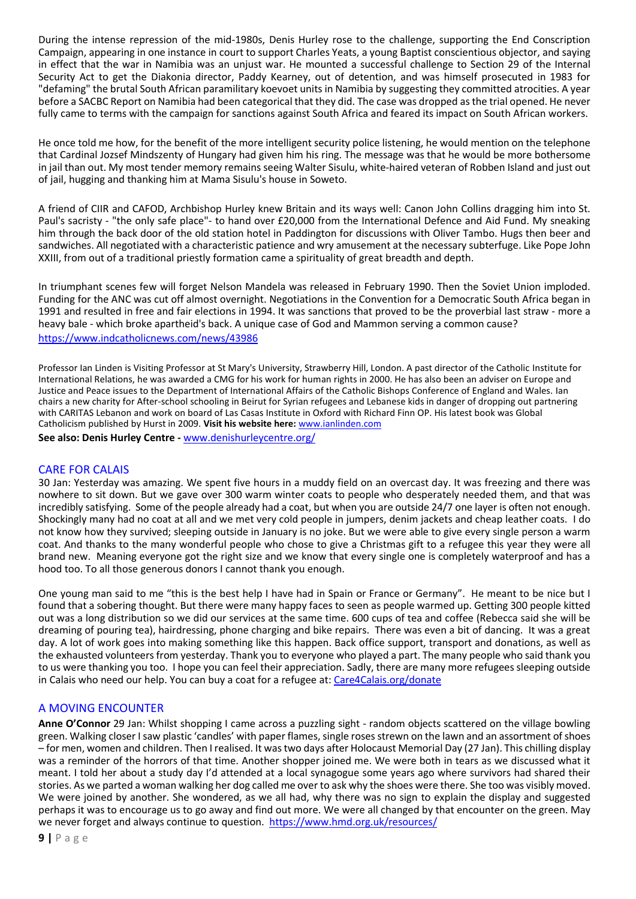During the intense repression of the mid-1980s, Denis Hurley rose to the challenge, supporting the End Conscription Campaign, appearing in one instance in court to support Charles Yeats, a young Baptist conscientious objector, and saying in effect that the war in Namibia was an unjust war. He mounted a successful challenge to Section 29 of the Internal Security Act to get the Diakonia director, Paddy Kearney, out of detention, and was himself prosecuted in 1983 for "defaming" the brutal South African paramilitary koevoet units in Namibia by suggesting they committed atrocities. A year before a SACBC Report on Namibia had been categorical that they did. The case was dropped as the trial opened. He never fully came to terms with the campaign for sanctions against South Africa and feared its impact on South African workers.

He once told me how, for the benefit of the more intelligent security police listening, he would mention on the telephone that Cardinal Jozsef Mindszenty of Hungary had given him his ring. The message was that he would be more bothersome in jail than out. My most tender memory remains seeing Walter Sisulu, white-haired veteran of Robben Island and just out of jail, hugging and thanking him at Mama Sisulu's house in Soweto.

A friend of CIIR and CAFOD, Archbishop Hurley knew Britain and its ways well: Canon John Collins dragging him into St. Paul's sacristy - "the only safe place"- to hand over £20,000 from the International Defence and Aid Fund. My sneaking him through the back door of the old station hotel in Paddington for discussions with Oliver Tambo. Hugs then beer and sandwiches. All negotiated with a characteristic patience and wry amusement at the necessary subterfuge. Like Pope John XXIII, from out of a traditional priestly formation came a spirituality of great breadth and depth.

In triumphant scenes few will forget Nelson Mandela was released in February 1990. Then the Soviet Union imploded. Funding for the ANC was cut off almost overnight. Negotiations in the Convention for a Democratic South Africa began in 1991 and resulted in free and fair elections in 1994. It was sanctions that proved to be the proverbial last straw - more a heavy bale - which broke apartheid's back. A unique case of God and Mammon serving a common cause? <https://www.indcatholicnews.com/news/43986>

Professor Ian Linden is Visiting Professor at St Mary's University, Strawberry Hill, London. A past director of the Catholic Institute for International Relations, he was awarded a CMG for his work for human rights in 2000. He has also been an adviser on Europe and Justice and Peace issues to the Department of International Affairs of the Catholic Bishops Conference of England and Wales. Ian chairs a new charity for After-school schooling in Beirut for Syrian refugees and Lebanese kids in danger of dropping out partnering with CARITAS Lebanon and work on board of Las Casas Institute in Oxford with Richard Finn OP. His latest book was Global Catholicism published by Hurst in 2009. **Visit his website here:** [www.ianlinden.com](http://www.ianlinden.com/)

**See also: Denis Hurley Centre -** [www.denishurleycentre.org/](http://www.denishurleycentre.org/)

### CARE FOR CALAIS

30 Jan: Yesterday was amazing. We spent five hours in a muddy field on an overcast day. It was freezing and there was nowhere to sit down. But we gave over 300 warm winter coats to people who desperately needed them, and that was incredibly satisfying. Some of the people already had a coat, but when you are outside 24/7 one layer is often not enough. Shockingly many had no coat at all and we met very cold people in jumpers, denim jackets and cheap leather coats. I do not know how they survived; sleeping outside in January is no joke. But we were able to give every single person a warm coat. And thanks to the many wonderful people who chose to give a Christmas gift to a refugee this year they were all brand new. Meaning everyone got the right size and we know that every single one is completely waterproof and has a hood too. To all those generous donors I cannot thank you enough.

One young man said to me "this is the best help I have had in Spain or France or Germany". He meant to be nice but I found that a sobering thought. But there were many happy faces to seen as people warmed up. Getting 300 people kitted out was a long distribution so we did our services at the same time. 600 cups of tea and coffee (Rebecca said she will be dreaming of pouring tea), hairdressing, phone charging and bike repairs. There was even a bit of dancing. It was a great day. A lot of work goes into making something like this happen. Back office support, transport and donations, as well as the exhausted volunteers from yesterday. Thank you to everyone who played a part. The many people who said thank you to us were thanking you too. I hope you can feel their appreciation. Sadly, there are many more refugees sleeping outside in Calais who need our help. You can buy a coat for a refugee at: Care4Calais.org/donate

### A MOVING ENCOUNTER

**Anne O'Connor** 29 Jan: Whilst shopping I came across a puzzling sight - random objects scattered on the village bowling green. Walking closer I saw plastic 'candles' with paper flames, single roses strewn on the lawn and an assortment of shoes – for men, women and children. Then I realised. It was two days after Holocaust Memorial Day (27 Jan). This chilling display was a reminder of the horrors of that time. Another shopper joined me. We were both in tears as we discussed what it meant. I told her about a study day I'd attended at a local synagogue some years ago where survivors had shared their stories. As we parted a woman walking her dog called me over to ask why the shoes were there. She too was visibly moved. We were joined by another. She wondered, as we all had, why there was no sign to explain the display and suggested perhaps it was to encourage us to go away and find out more. We were all changed by that encounter on the green. May we never forget and always continue to question. <https://www.hmd.org.uk/resources/>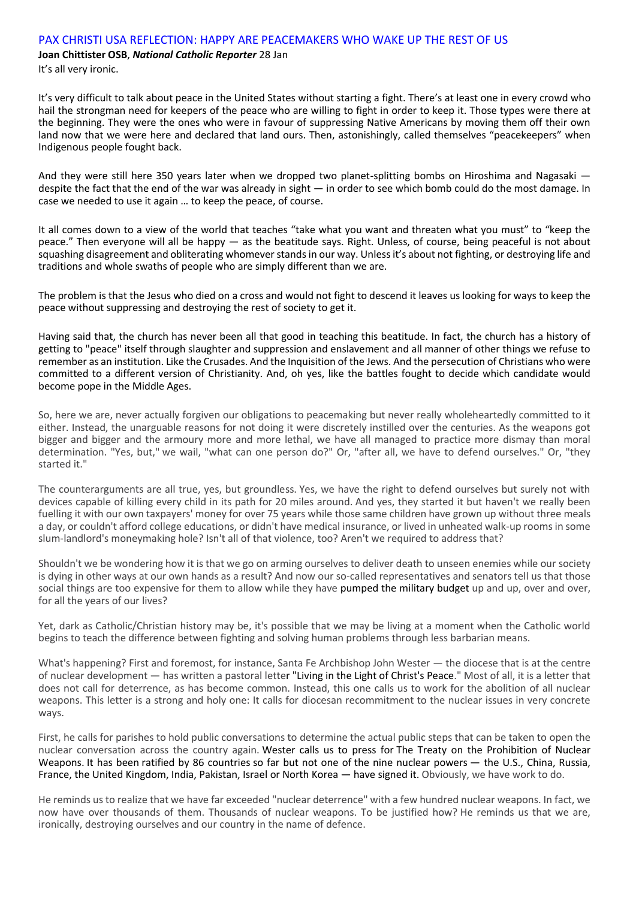### PAX CHRISTI USA REFLECTION: HAPPY ARE PEACEMAKERS WHO WAKE UP THE REST OF US

**Joan Chittister OSB**, *National Catholic Reporter* 28 Jan

It's all very ironic.

It's very difficult to talk about peace in the United States without starting a fight. There's at least one in every crowd who hail the strongman need for keepers of the peace who are willing to fight in order to keep it. Those types were there at the beginning. They were the ones who were in favour of suppressing Native Americans by moving them off their own land now that we were here and declared that land ours. Then, astonishingly, called themselves "peacekeepers" when Indigenous people fought back.

And they were still here 350 years later when we dropped two planet-splitting bombs on Hiroshima and Nagasaki despite the fact that the end of the war was already in sight — in order to see which bomb could do the most damage. In case we needed to use it again … to keep the peace, of course.

It all comes down to a view of the world that teaches "take what you want and threaten what you must" to "keep the peace." Then everyone will all be happy — as the beatitude says. Right. Unless, of course, being peaceful is not about squashing disagreement and obliterating whomever stands in our way. Unless it's about not fighting, or destroying life and traditions and whole swaths of people who are simply different than we are.

The problem is that the Jesus who died on a cross and would not fight to descend it leaves us looking for ways to keep the peace without suppressing and destroying the rest of society to get it.

Having said that, the church has never been all that good in teaching this beatitude. In fact, the church has a history of getting to "peace" itself through slaughter and suppression and enslavement and all manner of other things we refuse to remember as an institution. Like the Crusades. And the Inquisition of the Jews. And the persecution of Christians who were committed to a different version of Christianity. And, oh yes, like the battles fought to decide which candidate would become pope in the Middle Ages.

So, here we are, never actually forgiven our obligations to peacemaking but never really wholeheartedly committed to it either. Instead, the unarguable reasons for not doing it were discretely instilled over the centuries. As the weapons got bigger and bigger and the armoury more and more lethal, we have all managed to practice more dismay than moral determination. "Yes, but," we wail, "what can one person do?" Or, "after all, we have to defend ourselves." Or, "they started it."

The counterarguments are all true, yes, but groundless. Yes, we have the right to defend ourselves but surely not with devices capable of killing every child in its path for 20 miles around. And yes, they started it but haven't we really been fuelling it with our own taxpayers' money for over 75 years while those same children have grown up without three meals a day, or couldn't afford college educations, or didn't have medical insurance, or lived in unheated walk-up rooms in some slum-landlord's moneymaking hole? Isn't all of that violence, too? Aren't we required to address that?

Shouldn't we be wondering how it is that we go on arming ourselves to deliver death to unseen enemies while our society is dying in other ways at our own hands as a result? And now our so-called representatives and senators tell us that those social things are too expensive for them to allow while they have [pumped the military budget](https://appropriations.house.gov/news/press-releases/appropriations-committee-releases-fiscal-year-2022-defense-funding-bill) up and up, over and over, for all the years of our lives?

Yet, dark as Catholic/Christian history may be, it's possible that we may be living at a moment when the Catholic world begins to teach the difference between fighting and solving human problems through less barbarian means.

What's happening? First and foremost, for instance, Santa Fe Archbishop John Wester — the diocese that is at the centre of nuclear development — has written a pastoral letter ["Living in the Light of Christ's Peace.](https://archdiosf.org/living-in-the-light-of-christs-peace)" Most of all, it is a letter that does not call for deterrence, as has become common. Instead, this one calls us to work for the abolition of all nuclear weapons. This letter is a strong and holy one: It calls for diocesan recommitment to the nuclear issues in very concrete ways.

First, he calls for parishes to hold public conversations to determine the actual public steps that can be taken to open the nuclear conversation across the country again. Wester calls us to press for [The Treaty on the Prohibition of Nuclear](https://www.un.org/disarmament/wmd/nuclear/tpnw/)  [Weapons.](https://www.un.org/disarmament/wmd/nuclear/tpnw/) It has been [ratified by 86 countries](https://www.armscontrol.org/factsheets/nuclearprohibition) so far but not one of [the nine nuclear powers](https://www.armscontrol.org/factsheets/Nuclearweaponswhohaswhat) — the U.S., China, Russia, France, the United Kingdom, India, Pakistan, Israel or North Korea — [have signed it.](https://treaties.unoda.org/t/tpnw) Obviously, we have work to do.

He reminds us to realize that we have far exceeded "nuclear deterrence" with a few hundred nuclear weapons. In fact, we now have over thousands of them. Thousands of nuclear weapons. To be justified how? He reminds us that we are, ironically, destroying ourselves and our country in the name of defence.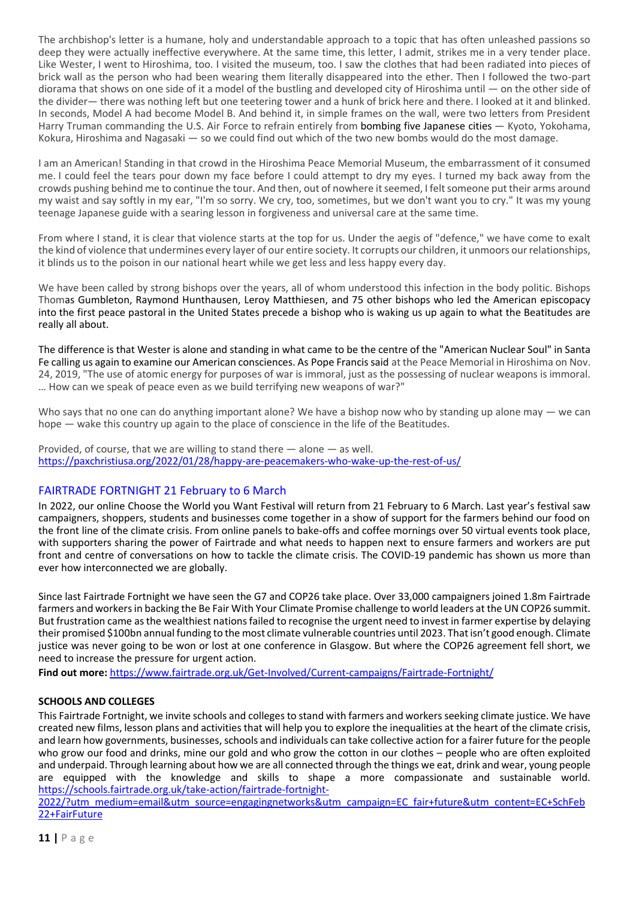The archbishop's letter is a humane, holy and understandable approach to a topic that has often unleashed passions so deep they were actually ineffective everywhere. At the same time, this letter, I admit, strikes me in a very tender place. Like Wester, I went to Hiroshima, too. I visited the museum, too. I saw the clothes that had been radiated into pieces of brick wall as the person who had been wearing them literally disappeared into the ether. Then I followed the two-part diorama that shows on one side of it a model of the bustling and developed city of Hiroshima until — on the other side of the divider— there was nothing left but one teetering tower and a hunk of brick here and there. I looked at it and blinked. In seconds, Model A had become Model B. And behind it, in simple frames on the wall, were two letters from President Harry Truman commanding the U.S. Air Force to refrain entirely from [bombing five Japanese cities](https://www.bbc.com/news/world-asia-33755182) — Kyoto, Yokohama, Kokura, Hiroshima and Nagasaki — so we could find out which of the two new bombs would do the most damage.

I am an American! Standing in that crowd in the Hiroshima Peace Memorial Museum, the embarrassment of it consumed me. I could feel the tears pour down my face before I could attempt to dry my eyes. I turned my back away from the crowds pushing behind me to continue the tour. And then, out of nowhere it seemed, I felt someone put their arms around my waist and say softly in my ear, "I'm so sorry. We cry, too, sometimes, but we don't want you to cry." It was my young teenage Japanese guide with a searing lesson in forgiveness and universal care at the same time.

From where I stand, it is clear that violence starts at the top for us. Under the aegis of "defence," we have come to exalt the kind of violence that undermines every layer of our entire society. It corrupts our children, it unmoors our relationships, it blinds us to the poison in our national heart while we get less and less happy every day.

We have been called by strong bishops over the years, all of whom understood this infection in the body politic. Bishops Thomas Gumbleton, Raymond Hunthausen, Leroy Matthiesen, and 75 other bishops who led the American episcopacy into [the first peace pastoral](http://www.ccnr.org/pax_christi.html) in the United States precede a bishop who is waking us up again to what the Beatitudes are really all about.

The difference is that Wester is alone and standing in what came to be the centre of the "American Nuclear Soul" in Santa Fe calling us again to examine our American consciences. As [Pope Francis said](https://www.vatican.va/content/francesco/en/messages/pont-messages/2019/documents/papa-francesco_20191124_messaggio-incontropace-hiroshima.html) at the Peace Memorial in Hiroshima on Nov. 24, 2019, "The use of atomic energy for purposes of war is immoral, just as the possessing of nuclear weapons is immoral. … How can we speak of peace even as we build terrifying new weapons of war?"

Who says that no one can do anything important alone? We have a bishop now who by standing up alone may — we can hope — wake this country up again to the place of conscience in the life of the Beatitudes.

Provided, of course, that we are willing to stand there — alone — as well. <https://paxchristiusa.org/2022/01/28/happy-are-peacemakers-who-wake-up-the-rest-of-us/>

# FAIRTRADE FORTNIGHT 21 February to 6 March

In 2022, our online Choose the World you Want Festival will return from 21 February to 6 March. Last year's festival saw campaigners, shoppers, students and businesses come together in a show of support for the farmers behind our food on the front line of the climate crisis. From online panels to bake-offs and coffee mornings over 50 virtual events took place, with supporters sharing the power of Fairtrade and what needs to happen next to ensure farmers and workers are put front and centre of conversations on how to tackle the climate crisis. The COVID-19 pandemic has shown us more than ever how interconnected we are globally.

Since last Fairtrade Fortnight we have seen the G7 and COP26 take place. Over 33,000 campaigners joined 1.8m Fairtrade farmers and workers in backing the Be Fair With Your Climate Promise challenge to world leaders at the UN COP26 summit. But frustration came as the wealthiest nations failed to recognise the urgent need to invest in farmer expertise by delaying their promised \$100bn annual funding to the most climate vulnerable countries until 2023. That isn't good enough. Climate justice was never going to be won or lost at one conference in Glasgow. But where the COP26 agreement fell short, we need to increase the pressure for urgent action.

**Find out more:** <https://www.fairtrade.org.uk/Get-Involved/Current-campaigns/Fairtrade-Fortnight/>

### **SCHOOLS AND COLLEGES**

This Fairtrade Fortnight, we invite schools and collegesto stand with farmers and workers seeking climate justice. We have created new films, lesson plans and activities that will help you to explore the inequalities at the heart of the climate crisis, and learn how governments, businesses, schools and individuals can take collective action for a fairer future for the people who grow our food and drinks, mine our gold and who grow the cotton in our clothes – people who are often exploited and underpaid. Through learning about how we are all connected through the things we eat, drink and wear, young people are equipped with the knowledge and skills to shape a more compassionate and sustainable world. [https://schools.fairtrade.org.uk/take-action/fairtrade-fortnight-](https://schools.fairtrade.org.uk/take-action/fairtrade-fortnight-2022/?utm_medium=email&utm_source=engagingnetworks&utm_campaign=EC_fair+future&utm_content=EC+SchFeb22+FairFuture)

[2022/?utm\\_medium=email&utm\\_source=engagingnetworks&utm\\_campaign=EC\\_fair+future&utm\\_content=EC+SchFeb](https://schools.fairtrade.org.uk/take-action/fairtrade-fortnight-2022/?utm_medium=email&utm_source=engagingnetworks&utm_campaign=EC_fair+future&utm_content=EC+SchFeb22+FairFuture) [22+FairFuture](https://schools.fairtrade.org.uk/take-action/fairtrade-fortnight-2022/?utm_medium=email&utm_source=engagingnetworks&utm_campaign=EC_fair+future&utm_content=EC+SchFeb22+FairFuture)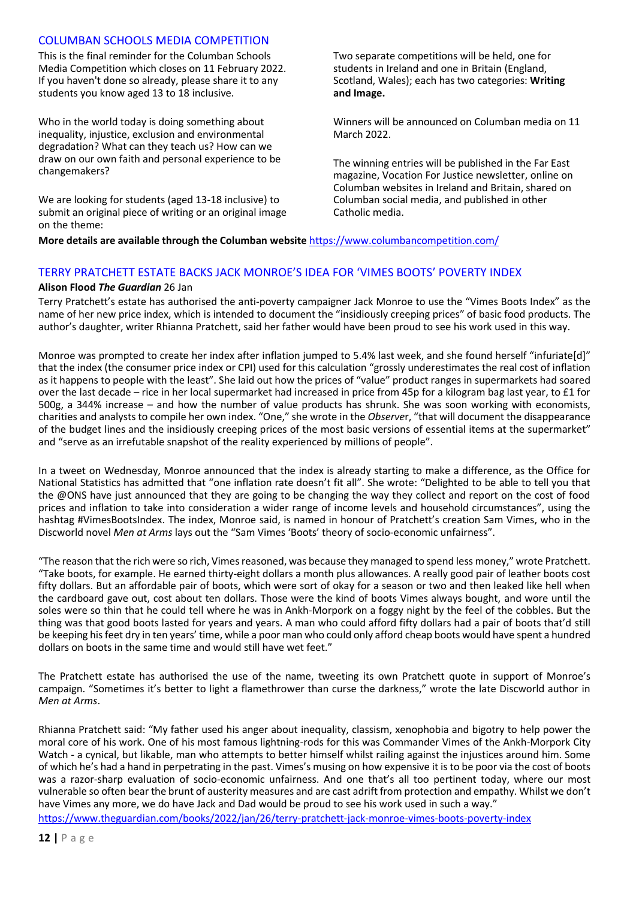# COLUMBAN SCHOOLS MEDIA COMPETITION

This is the final reminder for the Columban Schools Media Competition which closes on 11 February 2022. If you haven't done so already, please share it to any students you know aged 13 to 18 inclusive.

Who in the world today is doing something about inequality, injustice, exclusion and environmental degradation? What can they teach us? How can we draw on our own faith and personal experience to be changemakers?

We are looking for students (aged 13-18 inclusive) to submit an original piece of writing or an original image on the theme:

Two separate competitions will be held, one for students in Ireland and one in Britain (England, Scotland, Wales); each has two categories: **Writing and Image.**

Winners will be announced on Columban media on 11 March 2022.

The winning entries will be published in the Far East magazine, Vocation For Justice newsletter, online on Columban websites in Ireland and Britain, shared on Columban social media, and published in other Catholic media.

**More details are available through the Columban website** <https://www.columbancompetition.com/>

# TERRY PRATCHETT ESTATE BACKS JACK MONROE'S IDEA FOR 'VIMES BOOTS' POVERTY INDEX

### **Alison Flood** *The Guardian* 26 Jan

Terry Pratchett's estate has authorised the anti-poverty campaigner Jack Monroe to use the "Vimes Boots Index" as the name of her new price index, which is intended to document the "insidiously creeping prices" of basic food products. The author's daughter, writer Rhianna Pratchett, said her father would have been proud to see his work used in this way.

Monroe was prompted to create her index after inflation jumped to 5.4% last week, and she found herself "infuriate[d]" that the index (the consumer price index or CPI) used for this calculation "grossly underestimates the real cost of inflation as it happens to people with the least". She laid out how the prices of "value" product ranges in supermarkets had soared over the last decade – rice in her local supermarket had increased in price from 45p for a kilogram bag last year, to £1 for 500g, a 344% increase – and how the number of value products has shrunk. She was soon working with economists, charities and analysts to compile her own index. "One," she wrote in the *Observe*r, "that will document the disappearance of the budget lines and the insidiously creeping prices of the most basic versions of essential items at the supermarket" and "serve as an irrefutable snapshot of the reality experienced by millions of people".

In a tweet on Wednesday, Monroe announced that the index is already starting to make a difference, as the Office for National Statistics has admitted that "one inflation rate doesn't fit all". She wrote: "Delighted to be able to tell you that the @ONS have just announced that they are going to be changing the way they collect and report on the cost of food prices and inflation to take into consideration a wider range of income levels and household circumstances", using the hashtag #VimesBootsIndex. The index, Monroe said, is named in honour of Pratchett's creation Sam Vimes, who in the Discworld novel *Men at Arms* lays out the "Sam Vimes 'Boots' theory of socio-economic unfairness".

"The reason that the rich were so rich, Vimes reasoned, was because they managed to spend less money," wrote Pratchett. "Take boots, for example. He earned thirty-eight dollars a month plus allowances. A really good pair of leather boots cost fifty dollars. But an affordable pair of boots, which were sort of okay for a season or two and then leaked like hell when the cardboard gave out, cost about ten dollars. Those were the kind of boots Vimes always bought, and wore until the soles were so thin that he could tell where he was in Ankh-Morpork on a foggy night by the feel of the cobbles. But the thing was that good boots lasted for years and years. A man who could afford fifty dollars had a pair of boots that'd still be keeping his feet dry in ten years' time, while a poor man who could only afford cheap boots would have spent a hundred dollars on boots in the same time and would still have wet feet."

The Pratchett estate has authorised the use of the name, tweeting its own Pratchett quote in support of Monroe's campaign. "Sometimes it's better to light a flamethrower than curse the darkness," wrote the late Discworld author in *Men at Arms*.

Rhianna Pratchett said: "My father used his anger about inequality, classism, xenophobia and bigotry to help power the moral core of his work. One of his most famous lightning-rods for this was Commander Vimes of the Ankh-Morpork City Watch - a cynical, but likable, man who attempts to better himself whilst railing against the injustices around him. Some of which he's had a hand in perpetrating in the past. Vimes's musing on how expensive it is to be poor via the cost of boots was a razor-sharp evaluation of socio-economic unfairness. And one that's all too pertinent today, where our most vulnerable so often bear the brunt of austerity measures and are cast adrift from protection and empathy. Whilst we don't have Vimes any more, we do have Jack and Dad would be proud to see his work used in such a way."

<https://www.theguardian.com/books/2022/jan/26/terry-pratchett-jack-monroe-vimes-boots-poverty-index>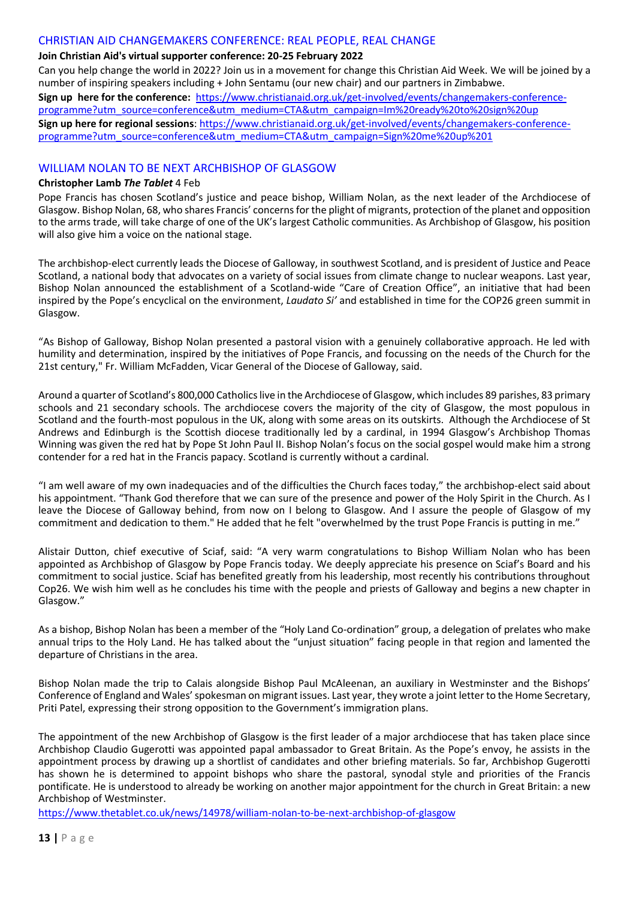# CHRISTIAN AID CHANGEMAKERS CONFERENCE: REAL PEOPLE, REAL CHANGE

### **Join Christian Aid's virtual supporter conference: 20-25 February 2022**

Can you help change the world in 2022? Join us in a movement for change this Christian Aid Week. We will be joined by a number of inspiring speakers including + John Sentamu (our new chair) and our partners in Zimbabwe. **Sign up here for the conference:** [https://www.christianaid.org.uk/get-involved/events/changemakers-conference](https://www.christianaid.org.uk/get-involved/events/changemakers-conference-programme?utm_source=conference&utm_medium=CTA&utm_campaign=Im%20ready%20to%20sign%20up)[programme?utm\\_source=conference&utm\\_medium=CTA&utm\\_campaign=Im%20ready%20to%20sign%20up](https://www.christianaid.org.uk/get-involved/events/changemakers-conference-programme?utm_source=conference&utm_medium=CTA&utm_campaign=Im%20ready%20to%20sign%20up) **Sign up here for regional sessions**: [https://www.christianaid.org.uk/get-involved/events/changemakers-conference](https://www.christianaid.org.uk/get-involved/events/changemakers-conference-programme?utm_source=conference&utm_medium=CTA&utm_campaign=Sign%20me%20up%201)[programme?utm\\_source=conference&utm\\_medium=CTA&utm\\_campaign=Sign%20me%20up%201](https://www.christianaid.org.uk/get-involved/events/changemakers-conference-programme?utm_source=conference&utm_medium=CTA&utm_campaign=Sign%20me%20up%201)

# WILLIAM NOLAN TO BE NEXT ARCHBISHOP OF GLASGOW

### **Christopher Lamb** *The Tablet* 4 Feb

Pope Francis has chosen Scotland's justice and peace bishop, William Nolan, as the next leader of the Archdiocese of Glasgow. Bishop Nolan, 68, who shares Francis' concerns for the plight of migrants, protection of the planet and opposition to the arms trade, will take charge of one of the UK's largest Catholic communities. As Archbishop of Glasgow, his position will also give him a voice on the national stage.

The archbishop-elect currently leads the Diocese of Galloway, in southwest Scotland, and is president of Justice and Peace Scotland, a national body that advocates on a variety of social issues from climate change to nuclear weapons. Last year, Bishop Nolan announced the establishment of a Scotland-wide "Care of Creation Office", an initiative that had been inspired by the Pope's encyclical on the environment, *Laudato Si'* and established in time for the COP26 green summit in Glasgow.

"As Bishop of Galloway, Bishop Nolan presented a pastoral vision with a genuinely collaborative approach. He led with humility and determination, inspired by the initiatives of Pope Francis, and focussing on the needs of the Church for the 21st century," Fr. William McFadden, Vicar General of the Diocese of Galloway, said.

Around a quarter of Scotland's 800,000 Catholics live in the Archdiocese of Glasgow, which includes 89 parishes, 83 primary schools and 21 secondary schools. The archdiocese covers the majority of the city of Glasgow, the most populous in Scotland and the fourth-most populous in the UK, along with some areas on its outskirts. Although the Archdiocese of St Andrews and Edinburgh is the Scottish diocese traditionally led by a cardinal, in 1994 Glasgow's Archbishop Thomas Winning was given the red hat by Pope St John Paul II. Bishop Nolan's focus on the social gospel would make him a strong contender for a red hat in the Francis papacy. Scotland is currently without a cardinal.

"I am well aware of my own inadequacies and of the difficulties the Church faces today," the archbishop-elect said about his appointment. "Thank God therefore that we can sure of the presence and power of the Holy Spirit in the Church. As I leave the Diocese of Galloway behind, from now on I belong to Glasgow. And I assure the people of Glasgow of my commitment and dedication to them." He added that he felt "overwhelmed by the trust Pope Francis is putting in me."

Alistair Dutton, chief executive of Sciaf, said: "A very warm congratulations to Bishop William Nolan who has been appointed as Archbishop of Glasgow by Pope Francis today. We deeply appreciate his presence on Sciaf's Board and his commitment to social justice. Sciaf has benefited greatly from his leadership, most recently his contributions throughout Cop26. We wish him well as he concludes his time with the people and priests of Galloway and begins a new chapter in Glasgow."

As a bishop, Bishop Nolan has been a member of the "Holy Land Co-ordination" group, a delegation of prelates who make annual trips to the Holy Land. He has talked about the "unjust situation" facing people in that region and lamented the departure of Christians in the area.

Bishop Nolan made the trip to Calais alongside Bishop Paul McAleenan, an auxiliary in Westminster and the Bishops' Conference of England and Wales' spokesman on migrant issues. Last year, they wrote a joint letter to the Home Secretary, Priti Patel, expressing their strong opposition to the Government's immigration plans.

The appointment of the new Archbishop of Glasgow is the first leader of a major archdiocese that has taken place since Archbishop Claudio Gugerotti was appointed papal ambassador to Great Britain. As the Pope's envoy, he assists in the appointment process by drawing up a shortlist of candidates and other briefing materials. So far, Archbishop Gugerotti has shown he is determined to appoint bishops who share the pastoral, synodal style and priorities of the Francis pontificate. He is understood to already be working on another major appointment for the church in Great Britain: a new Archbishop of Westminster.

<https://www.thetablet.co.uk/news/14978/william-nolan-to-be-next-archbishop-of-glasgow>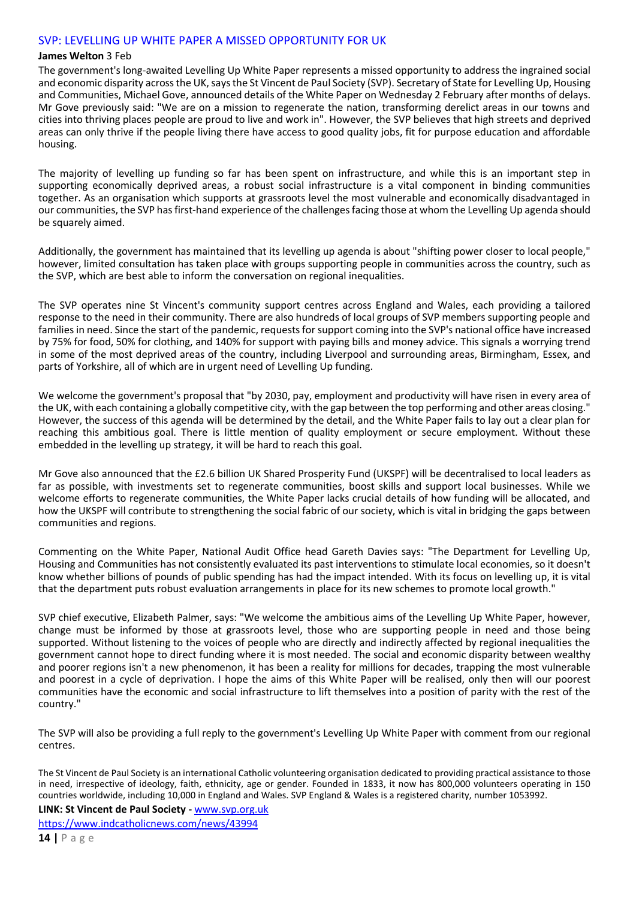### SVP: LEVELLING UP WHITE PAPER A MISSED OPPORTUNITY FOR UK

#### **James Welton** 3 Feb

The government's long-awaited Levelling Up White Paper represents a missed opportunity to address the ingrained social and economic disparity across the UK, says the St Vincent de Paul Society (SVP). Secretary of State for Levelling Up, Housing and Communities, Michael Gove, announced details of the White Paper on Wednesday 2 February after months of delays. Mr Gove previously said: "We are on a mission to regenerate the nation, transforming derelict areas in our towns and cities into thriving places people are proud to live and work in". However, the SVP believes that high streets and deprived areas can only thrive if the people living there have access to good quality jobs, fit for purpose education and affordable housing.

The majority of levelling up funding so far has been spent on infrastructure, and while this is an important step in supporting economically deprived areas, a robust social infrastructure is a vital component in binding communities together. As an organisation which supports at grassroots level the most vulnerable and economically disadvantaged in our communities, the SVP has first-hand experience of the challenges facing those at whom the Levelling Up agenda should be squarely aimed.

Additionally, the government has maintained that its levelling up agenda is about "shifting power closer to local people," however, limited consultation has taken place with groups supporting people in communities across the country, such as the SVP, which are best able to inform the conversation on regional inequalities.

The SVP operates nine St Vincent's community support centres across England and Wales, each providing a tailored response to the need in their community. There are also hundreds of local groups of SVP members supporting people and families in need. Since the start of the pandemic, requests for support coming into the SVP's national office have increased by 75% for food, 50% for clothing, and 140% for support with paying bills and money advice. This signals a worrying trend in some of the most deprived areas of the country, including Liverpool and surrounding areas, Birmingham, Essex, and parts of Yorkshire, all of which are in urgent need of Levelling Up funding.

We welcome the government's proposal that "by 2030, pay, employment and productivity will have risen in every area of the UK, with each containing a globally competitive city, with the gap between the top performing and other areas closing." However, the success of this agenda will be determined by the detail, and the White Paper fails to lay out a clear plan for reaching this ambitious goal. There is little mention of quality employment or secure employment. Without these embedded in the levelling up strategy, it will be hard to reach this goal.

Mr Gove also announced that the £2.6 billion UK Shared Prosperity Fund (UKSPF) will be decentralised to local leaders as far as possible, with investments set to regenerate communities, boost skills and support local businesses. While we welcome efforts to regenerate communities, the White Paper lacks crucial details of how funding will be allocated, and how the UKSPF will contribute to strengthening the social fabric of our society, which is vital in bridging the gaps between communities and regions.

Commenting on the White Paper, National Audit Office head Gareth Davies says: "The Department for Levelling Up, Housing and Communities has not consistently evaluated its past interventions to stimulate local economies, so it doesn't know whether billions of pounds of public spending has had the impact intended. With its focus on levelling up, it is vital that the department puts robust evaluation arrangements in place for its new schemes to promote local growth."

SVP chief executive, Elizabeth Palmer, says: "We welcome the ambitious aims of the Levelling Up White Paper, however, change must be informed by those at grassroots level, those who are supporting people in need and those being supported. Without listening to the voices of people who are directly and indirectly affected by regional inequalities the government cannot hope to direct funding where it is most needed. The social and economic disparity between wealthy and poorer regions isn't a new phenomenon, it has been a reality for millions for decades, trapping the most vulnerable and poorest in a cycle of deprivation. I hope the aims of this White Paper will be realised, only then will our poorest communities have the economic and social infrastructure to lift themselves into a position of parity with the rest of the country."

The SVP will also be providing a full reply to the government's Levelling Up White Paper with comment from our regional centres.

The St Vincent de Paul Society is an international Catholic volunteering organisation dedicated to providing practical assistance to those in need, irrespective of ideology, faith, ethnicity, age or gender. Founded in 1833, it now has 800,000 volunteers operating in 150 countries worldwide, including 10,000 in England and Wales. SVP England & Wales is a registered charity, number 1053992.

**LINK: St Vincent de Paul Society -** [www.svp.org.uk](http://www.svp.org.uk/)

<https://www.indcatholicnews.com/news/43994>

**14 |** P a g e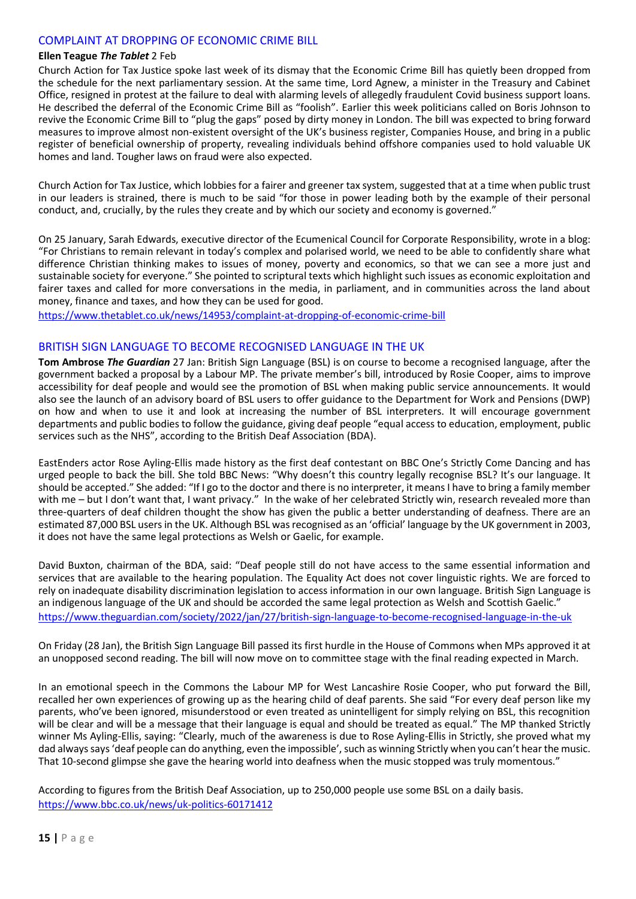### COMPLAINT AT DROPPING OF ECONOMIC CRIME BILL

#### **Ellen Teague** *The Tablet* 2 Feb

Church Action for Tax Justice spoke last week of its dismay that the Economic Crime Bill has quietly been dropped from the schedule for the next parliamentary session. At the same time, Lord Agnew, a minister in the Treasury and Cabinet Office, resigned in protest at the failure to deal with alarming levels of allegedly fraudulent Covid business support loans. He described the deferral of the Economic Crime Bill as "foolish". Earlier this week politicians called on Boris Johnson to revive the Economic Crime Bill to "plug the gaps" posed by dirty money in London. The bill was expected to bring forward measures to improve almost non-existent oversight of the UK's business register, Companies House, and bring in a public register of beneficial ownership of property, revealing individuals behind offshore companies used to hold valuable UK homes and land. Tougher laws on fraud were also expected.

Church Action for Tax Justice, which lobbies for a fairer and greener tax system, suggested that at a time when public trust in our leaders is strained, there is much to be said "for those in power leading both by the example of their personal conduct, and, crucially, by the rules they create and by which our society and economy is governed."

On 25 January, Sarah Edwards, executive director of the Ecumenical Council for Corporate Responsibility, wrote in a blog: "For Christians to remain relevant in today's complex and polarised world, we need to be able to confidently share what difference Christian thinking makes to issues of money, poverty and economics, so that we can see a more just and sustainable society for everyone." She pointed to scriptural texts which highlight such issues as economic exploitation and fairer taxes and called for more conversations in the media, in parliament, and in communities across the land about money, finance and taxes, and how they can be used for good.

<https://www.thetablet.co.uk/news/14953/complaint-at-dropping-of-economic-crime-bill>

# BRITISH SIGN LANGUAGE TO BECOME RECOGNISED LANGUAGE IN THE UK

**Tom Ambrose** *The Guardian* 27 Jan: British Sign Language (BSL) is on course to become a recognised language, after the government backed a proposal by a Labour MP. The private member's bill, introduced by Rosie Cooper, aims to improve accessibility for deaf people and would see the promotion of BSL when making public service announcements. It would also see the launch of an advisory board of BSL users to offer guidance to the Department for Work and Pensions (DWP) on how and when to use it and look at increasing the number of BSL interpreters. It will encourage government departments and public bodies to follow the guidance, giving deaf people "equal access to education, employment, public services such as the NHS", according to the British Deaf Association (BDA).

EastEnders actor Rose Ayling-Ellis made history as the first deaf contestant on BBC One's Strictly Come Dancing and has urged people to back the bill. She told BBC News: "Why doesn't this country legally recognise BSL? It's our language. It should be accepted." She added: "If I go to the doctor and there is no interpreter, it means I have to bring a family member with me – but I don't want that, I want privacy." In the wake of her celebrated Strictly win, research revealed more than three-quarters of deaf children thought the show has given the public a better understanding of deafness. There are an estimated 87,000 BSL users in the UK. Although BSL was recognised as an 'official' language by the UK government in 2003, it does not have the same legal protections as Welsh or Gaelic, for example.

David Buxton, chairman of the BDA, said: "Deaf people still do not have access to the same essential information and services that are available to the hearing population. The Equality Act does not cover linguistic rights. We are forced to rely on inadequate disability discrimination legislation to access information in our own language. British Sign Language is an indigenous language of the UK and should be accorded the same legal protection as Welsh and Scottish Gaelic." <https://www.theguardian.com/society/2022/jan/27/british-sign-language-to-become-recognised-language-in-the-uk>

On Friday (28 Jan), the British Sign Language Bill passed its first hurdle in the House of Commons when MPs approved it at an unopposed second reading. The bill will now move on to committee stage with the final reading expected in March.

In an emotional speech in the Commons the Labour MP for West Lancashire Rosie Cooper, who put forward the Bill, recalled her own experiences of growing up as the hearing child of deaf parents. She said "For every deaf person like my parents, who've been ignored, misunderstood or even treated as unintelligent for simply relying on BSL, this recognition will be clear and will be a message that their language is equal and should be treated as equal." The MP thanked Strictly winner Ms Ayling-Ellis, saying: "Clearly, much of the awareness is due to Rose Ayling-Ellis in Strictly, she proved what my dad always says 'deaf people can do anything, even the impossible', such as winning Strictly when you can't hear the music. That 10-second glimpse she gave the hearing world into deafness when the music stopped was truly momentous."

According to figures from the British Deaf Association, up to 250,000 people use some BSL on a daily basis. <https://www.bbc.co.uk/news/uk-politics-60171412>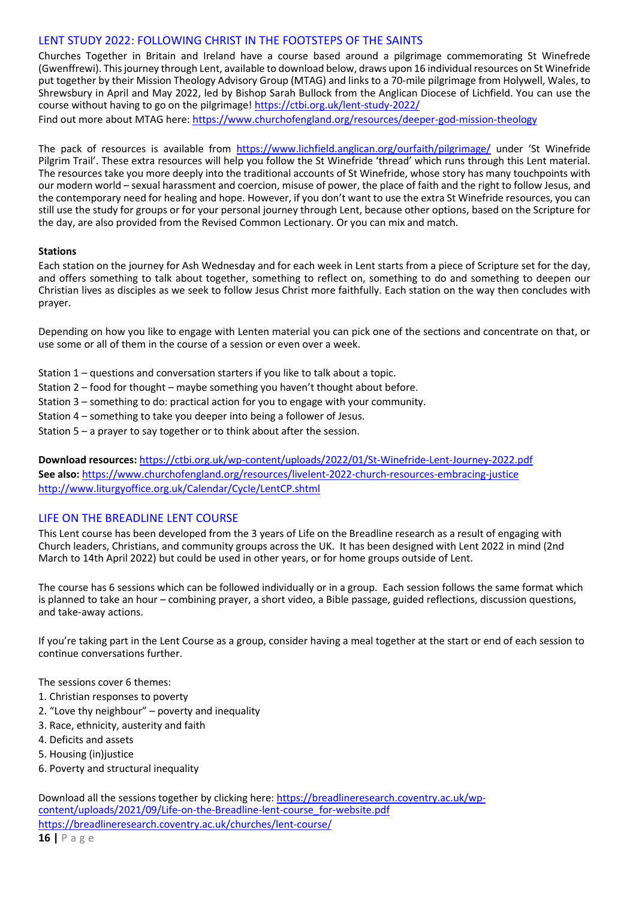# LENT STUDY 2022: FOLLOWING CHRIST IN THE FOOTSTEPS OF THE SAINTS

Churches Together in Britain and Ireland have a course based around a pilgrimage commemorating St Winefrede (Gwenffrewi). This journey through Lent, available to download below, draws upon 16 individual resources on St Winefride put together by their Mission Theology Advisory Group (MTAG) and links to a 70-mile pilgrimage from Holywell, Wales, to Shrewsbury in April and May 2022, led by Bishop Sarah Bullock from the Anglican Diocese of Lichfield. You can use the course without having to go on the pilgrimage! <https://ctbi.org.uk/lent-study-2022/>

Find out more about MTAG here:<https://www.churchofengland.org/resources/deeper-god-mission-theology>

The pack of resources is available from <https://www.lichfield.anglican.org/ourfaith/pilgrimage/> under 'St Winefride Pilgrim Trail'. These extra resources will help you follow the St Winefride 'thread' which runs through this Lent material. The resources take you more deeply into the traditional accounts of St Winefride, whose story has many touchpoints with our modern world – sexual harassment and coercion, misuse of power, the place of faith and the right to follow Jesus, and the contemporary need for healing and hope. However, if you don't want to use the extra St Winefride resources, you can still use the study for groups or for your personal journey through Lent, because other options, based on the Scripture for the day, are also provided from the Revised Common Lectionary. Or you can mix and match.

### **Stations**

Each station on the journey for Ash Wednesday and for each week in Lent starts from a piece of Scripture set for the day, and offers something to talk about together, something to reflect on, something to do and something to deepen our Christian lives as disciples as we seek to follow Jesus Christ more faithfully. Each station on the way then concludes with prayer.

Depending on how you like to engage with Lenten material you can pick one of the sections and concentrate on that, or use some or all of them in the course of a session or even over a week.

- Station 1 questions and conversation starters if you like to talk about a topic.
- Station 2 food for thought maybe something you haven't thought about before.
- Station 3 something to do: practical action for you to engage with your community.
- Station 4 something to take you deeper into being a follower of Jesus.
- Station 5 a prayer to say together or to think about after the session.

**Download resources:** <https://ctbi.org.uk/wp-content/uploads/2022/01/St-Winefride-Lent-Journey-2022.pdf> **See also:** <https://www.churchofengland.org/resources/livelent-2022-church-resources-embracing-justice> <http://www.liturgyoffice.org.uk/Calendar/Cycle/LentCP.shtml>

# LIFE ON THE BREADLINE LENT COURSE

This Lent course has been developed from the 3 years of Life on the Breadline research as a result of engaging with Church leaders, Christians, and community groups across the UK. It has been designed with Lent 2022 in mind (2nd March to 14th April 2022) but could be used in other years, or for home groups outside of Lent.

The course has 6 sessions which can be followed individually or in a group. Each session follows the same format which is planned to take an hour – combining prayer, a short video, a Bible passage, guided reflections, discussion questions, and take-away actions.

If you're taking part in the Lent Course as a group, consider having a meal together at the start or end of each session to continue conversations further.

The sessions cover 6 themes:

- 1. Christian responses to poverty
- 2. "Love thy neighbour" poverty and inequality
- 3. Race, ethnicity, austerity and faith
- 4. Deficits and assets
- 5. Housing (in)justice
- 6. Poverty and structural inequality

**16 |** P a g e Download all the sessions together by clicking here: [https://breadlineresearch.coventry.ac.uk/wp](https://breadlineresearch.coventry.ac.uk/wp-content/uploads/2021/09/Life-on-the-Breadline-lent-course_for-website.pdf)[content/uploads/2021/09/Life-on-the-Breadline-lent-course\\_for-website.pdf](https://breadlineresearch.coventry.ac.uk/wp-content/uploads/2021/09/Life-on-the-Breadline-lent-course_for-website.pdf) <https://breadlineresearch.coventry.ac.uk/churches/lent-course/>